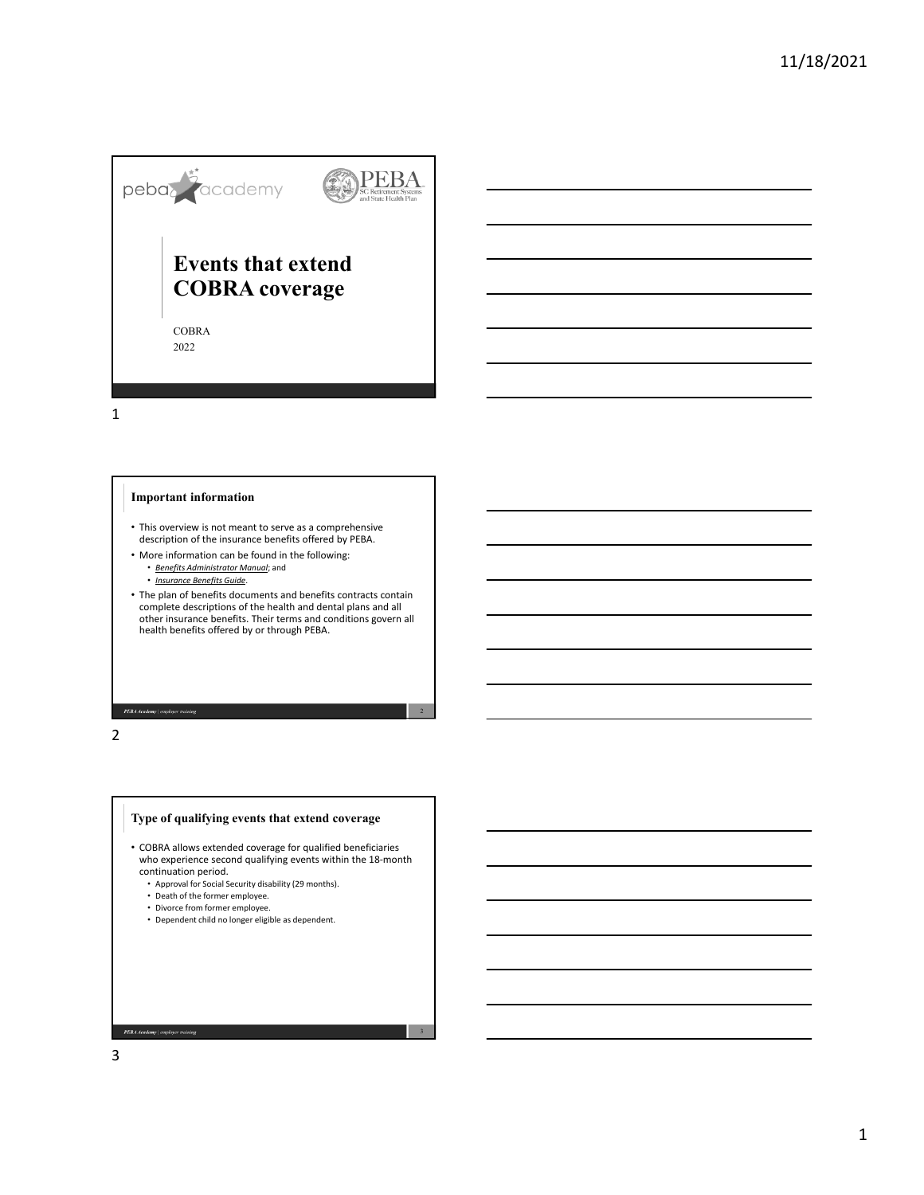

1

### **Important information**

- This overview is not meant to serve as a comprehensive description of the insurance benefits offered by PEBA.
- More information can be found in the following:
	- *Benefits Administrator Manual*; and
	- *Insurance Benefits Guide*.
- The plan of benefits documents and benefits contracts contain complete descriptions of the health and dental plans and all other insurance benefits. Their terms and conditions govern all health benefits offered by or through PEBA.

PEBA Academy | employer training



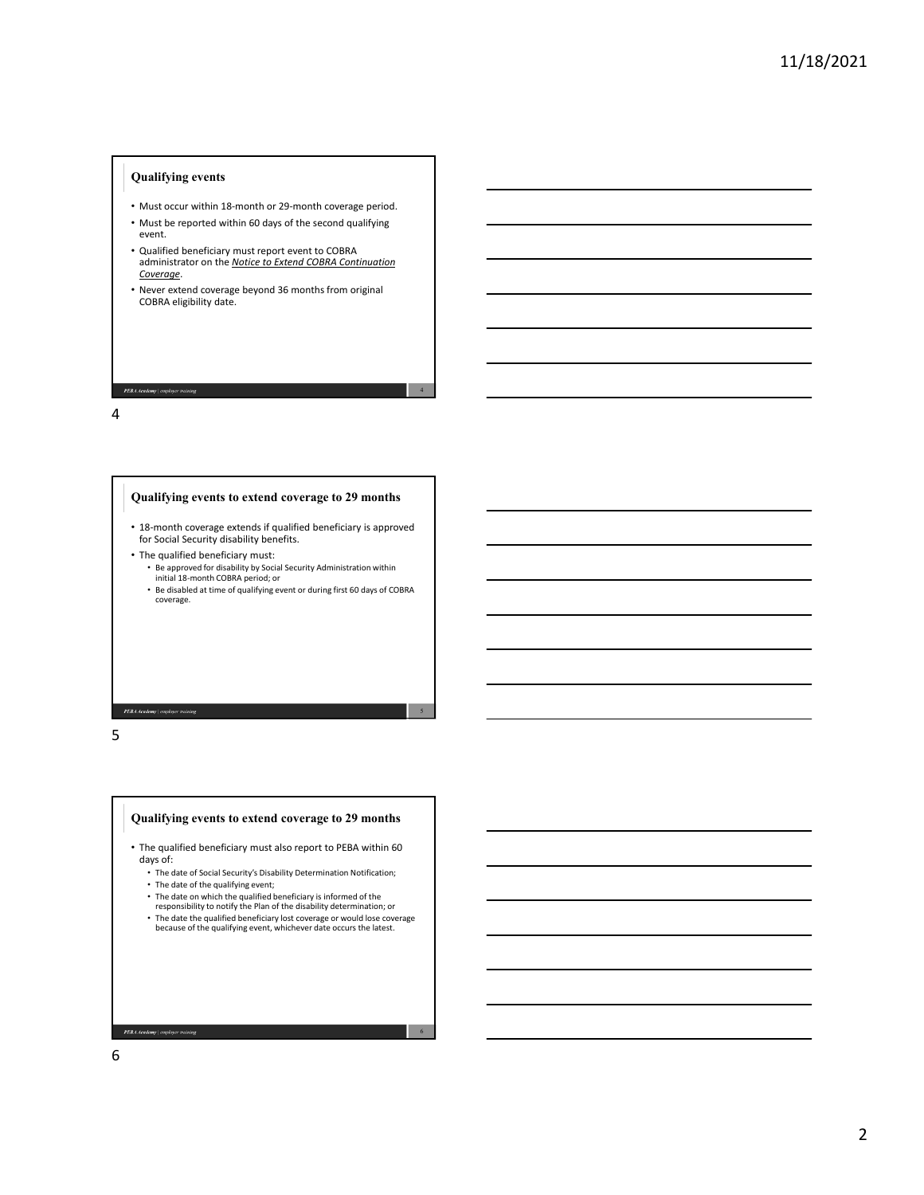### **Qualifying events**

- Must occur within 18‐month or 29‐month coverage period.
- Must be reported within 60 days of the second qualifying event.
- Qualified beneficiary must report event to COBRA administrator on the *Notice to Extend COBRA Continuation Coverage*.
- Never extend coverage beyond 36 months from original COBRA eligibility date.

4

5

#### 4



PEBA Academy | employer training



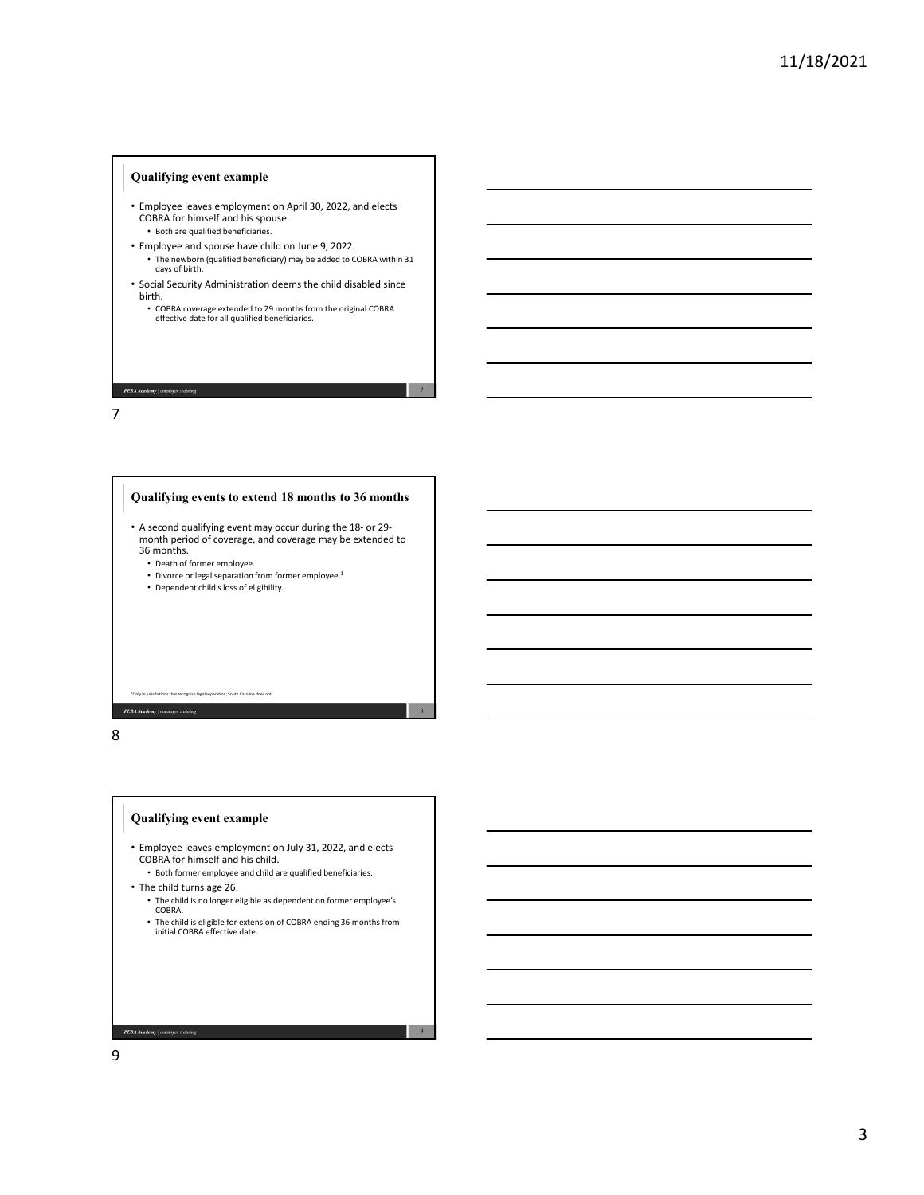### **Qualifying event example**

- Employee leaves employment on April 30, 2022, and elects COBRA for himself and his spouse. • Both are qualified beneficiaries.
- Employee and spouse have child on June 9, 2022. • The newborn (qualified beneficiary) may be added to COBRA within 31 days of birth.
- Social Security Administration deems the child disabled since birth.
	- COBRA coverage extended to 29 months from the original COBRA effective date for all qualified beneficiaries.

7

8

# 7



PEBA Academy doyer training